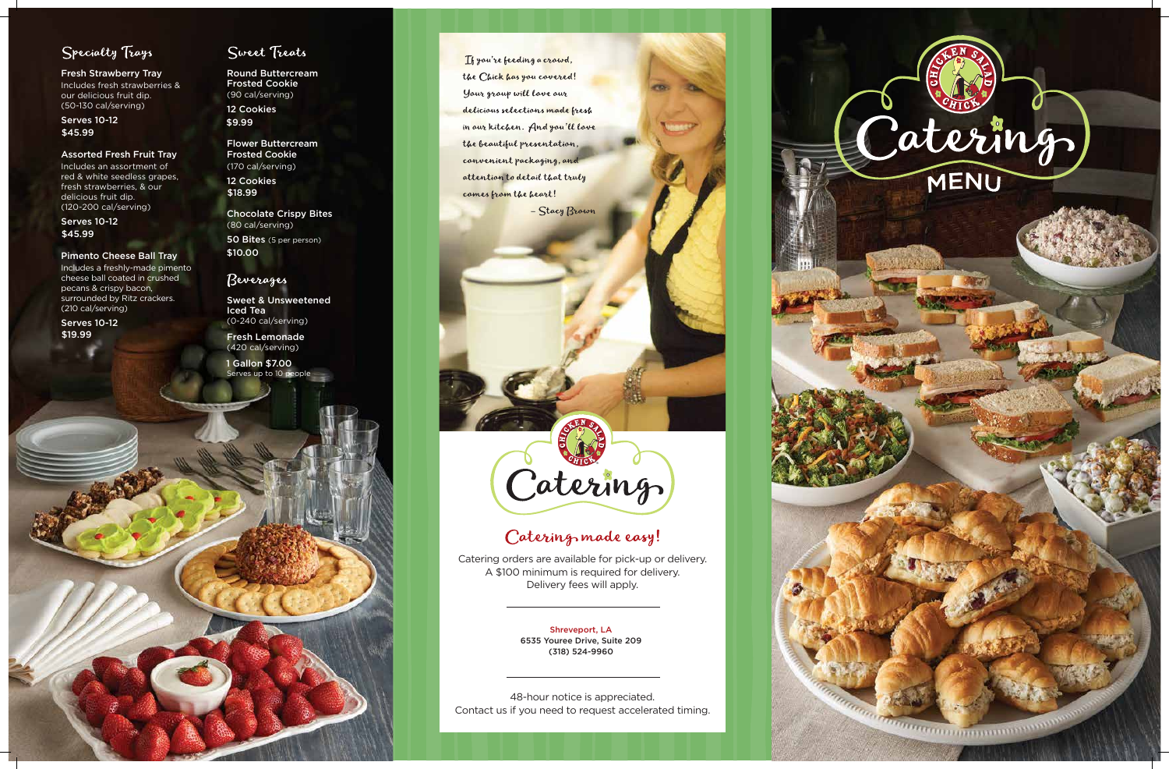

## Specialty Trays

Fresh Strawberry Tray Includes fresh strawberries & our delicious fruit dip. (50-130 cal/serving)

#### Assorted Fresh Fruit Tray

Includes an assortment of red & white seedless grapes, fresh strawberries, & our delicious fruit dip. (120-200 cal/serving)

#### Pimento Cheese Ball Tray

Includes a freshly-made pimento cheese ball coated in crushed pecans & crispy bacon, surrounded by Ritz crackers. (210 cal/serving)

Flower Buttercream Frosted Cookie (170 cal/serving)

Serves 10-12 \$45.99

> Chocolate Crispy Bites (80 cal/serving) 50 Bites (5 per person)

Serves 10-12 \$45.99

> Sweet & Unsweetened Iced Tea (0-240 cal/serving)

Fresh Lemonade (420 cal/serving)

Round Buttercream Frosted Cookie (90 cal/serving) 12 Cookies \$9.99

Serves 10-12 \$19.99

### Sweet Treats



If you're feeding a crowd, the Chick has you covered! Your group will love our delicious selections made fresh in our kitchen. And you'll love the beautiful presentation, convenient packaging, and attention to detail that truly comes from the heart!

- Stacy Brown

# Caterings

# Catering made easy!

12 Cookies \$18.99

> Catering orders are available for pick-up or delivery. A \$100 minimum is required for delivery. Delivery fees will apply.

48-hour notice is appreciated. Contact us if you need to request accelerated timing.

1 Gallon \$7.00

\$10.00

### Beverages

Shreveport, LA 6535 Youree Drive, Suite 209 (318) 524-9960